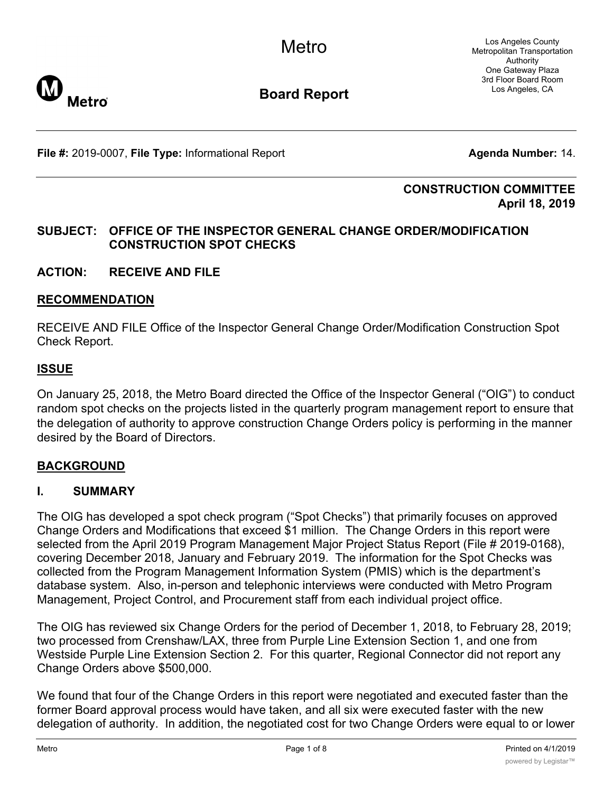Metro

**Board Report**

**File #:** 2019-0007, File Type: Informational Report **Agents Agenda Number:** 14.

**CONSTRUCTION COMMITTEE April 18, 2019**

#### **SUBJECT: OFFICE OF THE INSPECTOR GENERAL CHANGE ORDER/MODIFICATION CONSTRUCTION SPOT CHECKS**

**ACTION: RECEIVE AND FILE**

#### **RECOMMENDATION**

RECEIVE AND FILE Office of the Inspector General Change Order/Modification Construction Spot Check Report.

#### **ISSUE**

On January 25, 2018, the Metro Board directed the Office of the Inspector General ("OIG") to conduct random spot checks on the projects listed in the quarterly program management report to ensure that the delegation of authority to approve construction Change Orders policy is performing in the manner desired by the Board of Directors.

#### **BACKGROUND**

#### **I. SUMMARY**

The OIG has developed a spot check program ("Spot Checks") that primarily focuses on approved Change Orders and Modifications that exceed \$1 million. The Change Orders in this report were selected from the April 2019 Program Management Major Project Status Report (File # 2019-0168), covering December 2018, January and February 2019. The information for the Spot Checks was collected from the Program Management Information System (PMIS) which is the department's database system. Also, in-person and telephonic interviews were conducted with Metro Program Management, Project Control, and Procurement staff from each individual project office.

The OIG has reviewed six Change Orders for the period of December 1, 2018, to February 28, 2019; two processed from Crenshaw/LAX, three from Purple Line Extension Section 1, and one from Westside Purple Line Extension Section 2. For this quarter, Regional Connector did not report any Change Orders above \$500,000.

We found that four of the Change Orders in this report were negotiated and executed faster than the former Board approval process would have taken, and all six were executed faster with the new delegation of authority. In addition, the negotiated cost for two Change Orders were equal to or lower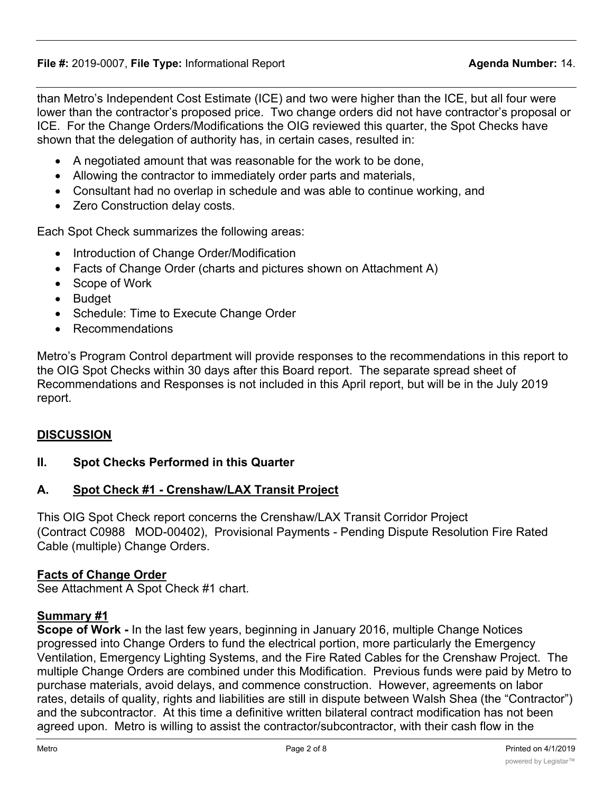than Metro's Independent Cost Estimate (ICE) and two were higher than the ICE, but all four were lower than the contractor's proposed price. Two change orders did not have contractor's proposal or ICE. For the Change Orders/Modifications the OIG reviewed this quarter, the Spot Checks have shown that the delegation of authority has, in certain cases, resulted in:

- · A negotiated amount that was reasonable for the work to be done,
- · Allowing the contractor to immediately order parts and materials,
- · Consultant had no overlap in schedule and was able to continue working, and
- Zero Construction delay costs.

Each Spot Check summarizes the following areas:

- · Introduction of Change Order/Modification
- Facts of Change Order (charts and pictures shown on Attachment A)
- · Scope of Work
- · Budget
- · Schedule: Time to Execute Change Order
- · Recommendations

Metro's Program Control department will provide responses to the recommendations in this report to the OIG Spot Checks within 30 days after this Board report. The separate spread sheet of Recommendations and Responses is not included in this April report, but will be in the July 2019 report.

#### **DISCUSSION**

#### **II. Spot Checks Performed in this Quarter**

#### **A. Spot Check #1 - Crenshaw/LAX Transit Project**

This OIG Spot Check report concerns the Crenshaw/LAX Transit Corridor Project (Contract C0988 MOD-00402), Provisional Payments - Pending Dispute Resolution Fire Rated Cable (multiple) Change Orders.

#### **Facts of Change Order**

See Attachment A Spot Check #1 chart.

#### **Summary #1**

**Scope of Work -** In the last few years, beginning in January 2016, multiple Change Notices progressed into Change Orders to fund the electrical portion, more particularly the Emergency Ventilation, Emergency Lighting Systems, and the Fire Rated Cables for the Crenshaw Project. The multiple Change Orders are combined under this Modification. Previous funds were paid by Metro to purchase materials, avoid delays, and commence construction. However, agreements on labor rates, details of quality, rights and liabilities are still in dispute between Walsh Shea (the "Contractor") and the subcontractor. At this time a definitive written bilateral contract modification has not been agreed upon. Metro is willing to assist the contractor/subcontractor, with their cash flow in the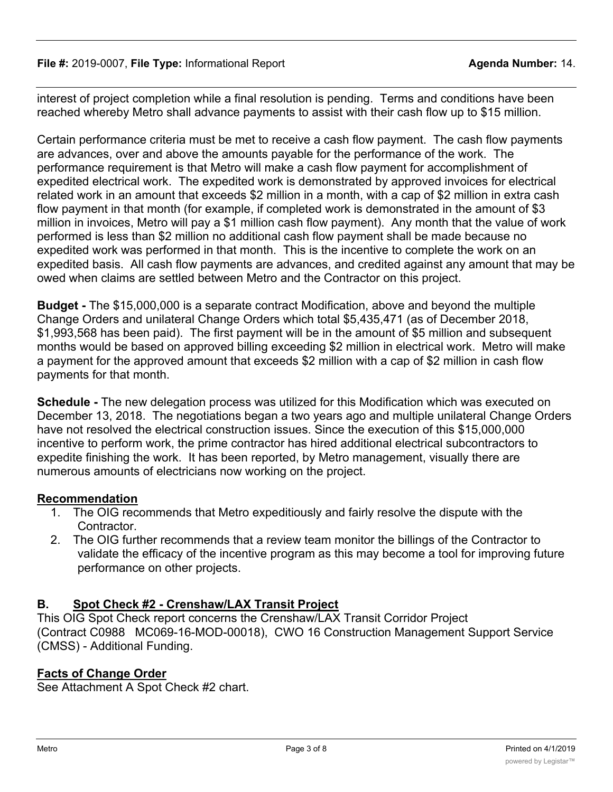#### **File #:** 2019-0007, File Type: Informational Report **Agent Agents Agenda Number:** 14.

interest of project completion while a final resolution is pending. Terms and conditions have been reached whereby Metro shall advance payments to assist with their cash flow up to \$15 million.

Certain performance criteria must be met to receive a cash flow payment. The cash flow payments are advances, over and above the amounts payable for the performance of the work. The performance requirement is that Metro will make a cash flow payment for accomplishment of expedited electrical work. The expedited work is demonstrated by approved invoices for electrical related work in an amount that exceeds \$2 million in a month, with a cap of \$2 million in extra cash flow payment in that month (for example, if completed work is demonstrated in the amount of \$3 million in invoices, Metro will pay a \$1 million cash flow payment). Any month that the value of work performed is less than \$2 million no additional cash flow payment shall be made because no expedited work was performed in that month. This is the incentive to complete the work on an expedited basis. All cash flow payments are advances, and credited against any amount that may be owed when claims are settled between Metro and the Contractor on this project.

**Budget -** The \$15,000,000 is a separate contract Modification, above and beyond the multiple Change Orders and unilateral Change Orders which total \$5,435,471 (as of December 2018, \$1,993,568 has been paid). The first payment will be in the amount of \$5 million and subsequent months would be based on approved billing exceeding \$2 million in electrical work. Metro will make a payment for the approved amount that exceeds \$2 million with a cap of \$2 million in cash flow payments for that month.

**Schedule -** The new delegation process was utilized for this Modification which was executed on December 13, 2018. The negotiations began a two years ago and multiple unilateral Change Orders have not resolved the electrical construction issues. Since the execution of this \$15,000,000 incentive to perform work, the prime contractor has hired additional electrical subcontractors to expedite finishing the work. It has been reported, by Metro management, visually there are numerous amounts of electricians now working on the project.

#### **Recommendation**

- 1. The OIG recommends that Metro expeditiously and fairly resolve the dispute with the **Contractor**
- 2. The OIG further recommends that a review team monitor the billings of the Contractor to validate the efficacy of the incentive program as this may become a tool for improving future performance on other projects.

#### **B. Spot Check #2 - Crenshaw/LAX Transit Project**

This OIG Spot Check report concerns the Crenshaw/LAX Transit Corridor Project (Contract C0988 MC069-16-MOD-00018), CWO 16 Construction Management Support Service (CMSS) - Additional Funding.

#### **Facts of Change Order**

See Attachment A Spot Check #2 chart.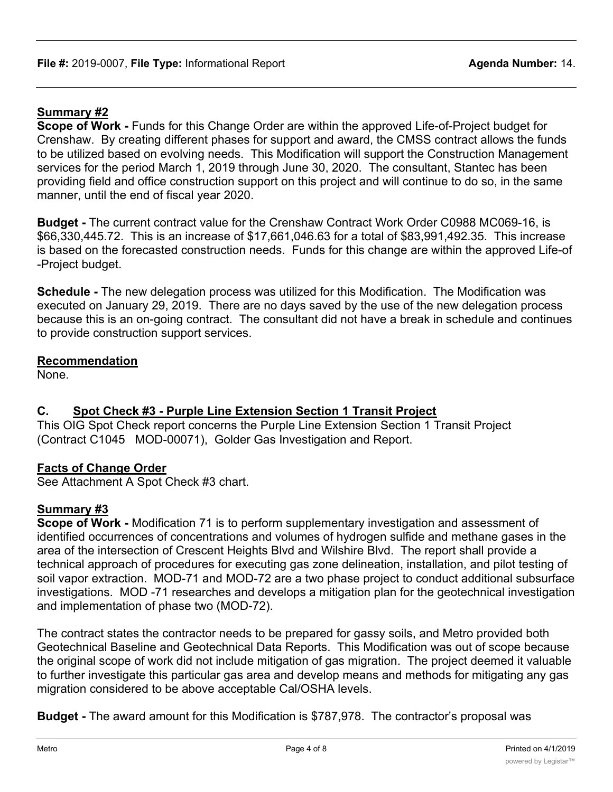#### **Summary #2**

**Scope of Work -** Funds for this Change Order are within the approved Life-of-Project budget for Crenshaw. By creating different phases for support and award, the CMSS contract allows the funds to be utilized based on evolving needs. This Modification will support the Construction Management services for the period March 1, 2019 through June 30, 2020. The consultant, Stantec has been providing field and office construction support on this project and will continue to do so, in the same manner, until the end of fiscal year 2020.

**Budget -** The current contract value for the Crenshaw Contract Work Order C0988 MC069-16, is \$66,330,445.72. This is an increase of \$17,661,046.63 for a total of \$83,991,492.35. This increase is based on the forecasted construction needs. Funds for this change are within the approved Life-of -Project budget.

**Schedule -** The new delegation process was utilized for this Modification. The Modification was executed on January 29, 2019. There are no days saved by the use of the new delegation process because this is an on-going contract. The consultant did not have a break in schedule and continues to provide construction support services.

#### **Recommendation**

None.

# **C. Spot Check #3 - Purple Line Extension Section 1 Transit Project**

This OIG Spot Check report concerns the Purple Line Extension Section 1 Transit Project (Contract C1045 MOD-00071), Golder Gas Investigation and Report.

#### **Facts of Change Order**

See Attachment A Spot Check #3 chart.

#### **Summary #3**

**Scope of Work -** Modification 71 is to perform supplementary investigation and assessment of identified occurrences of concentrations and volumes of hydrogen sulfide and methane gases in the area of the intersection of Crescent Heights Blvd and Wilshire Blvd. The report shall provide a technical approach of procedures for executing gas zone delineation, installation, and pilot testing of soil vapor extraction. MOD-71 and MOD-72 are a two phase project to conduct additional subsurface investigations. MOD -71 researches and develops a mitigation plan for the geotechnical investigation and implementation of phase two (MOD-72).

The contract states the contractor needs to be prepared for gassy soils, and Metro provided both Geotechnical Baseline and Geotechnical Data Reports. This Modification was out of scope because the original scope of work did not include mitigation of gas migration. The project deemed it valuable to further investigate this particular gas area and develop means and methods for mitigating any gas migration considered to be above acceptable Cal/OSHA levels.

**Budget -** The award amount for this Modification is \$787,978. The contractor's proposal was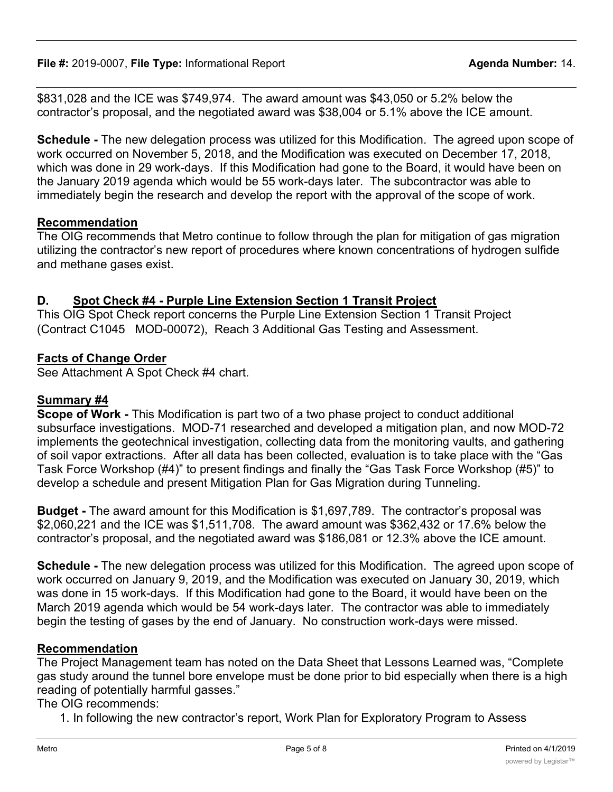**File #:** 2019-0007, File Type: Informational Report **Agent Agent Agenda Number:** 14.

\$831,028 and the ICE was \$749,974. The award amount was \$43,050 or 5.2% below the contractor's proposal, and the negotiated award was \$38,004 or 5.1% above the ICE amount.

**Schedule -** The new delegation process was utilized for this Modification. The agreed upon scope of work occurred on November 5, 2018, and the Modification was executed on December 17, 2018, which was done in 29 work-days. If this Modification had gone to the Board, it would have been on the January 2019 agenda which would be 55 work-days later. The subcontractor was able to immediately begin the research and develop the report with the approval of the scope of work.

#### **Recommendation**

The OIG recommends that Metro continue to follow through the plan for mitigation of gas migration utilizing the contractor's new report of procedures where known concentrations of hydrogen sulfide and methane gases exist.

#### **D. Spot Check #4 - Purple Line Extension Section 1 Transit Project**

This OIG Spot Check report concerns the Purple Line Extension Section 1 Transit Project (Contract C1045 MOD-00072), Reach 3 Additional Gas Testing and Assessment.

#### **Facts of Change Order**

See Attachment A Spot Check #4 chart.

#### **Summary #4**

**Scope of Work -** This Modification is part two of a two phase project to conduct additional subsurface investigations. MOD-71 researched and developed a mitigation plan, and now MOD-72 implements the geotechnical investigation, collecting data from the monitoring vaults, and gathering of soil vapor extractions. After all data has been collected, evaluation is to take place with the "Gas Task Force Workshop (#4)" to present findings and finally the "Gas Task Force Workshop (#5)" to develop a schedule and present Mitigation Plan for Gas Migration during Tunneling.

**Budget -** The award amount for this Modification is \$1,697,789. The contractor's proposal was \$2,060,221 and the ICE was \$1,511,708. The award amount was \$362,432 or 17.6% below the contractor's proposal, and the negotiated award was \$186,081 or 12.3% above the ICE amount.

**Schedule -** The new delegation process was utilized for this Modification. The agreed upon scope of work occurred on January 9, 2019, and the Modification was executed on January 30, 2019, which was done in 15 work-days. If this Modification had gone to the Board, it would have been on the March 2019 agenda which would be 54 work-days later. The contractor was able to immediately begin the testing of gases by the end of January. No construction work-days were missed.

#### **Recommendation**

The Project Management team has noted on the Data Sheet that Lessons Learned was, "Complete gas study around the tunnel bore envelope must be done prior to bid especially when there is a high reading of potentially harmful gasses."

The OIG recommends:

1. In following the new contractor's report, Work Plan for Exploratory Program to Assess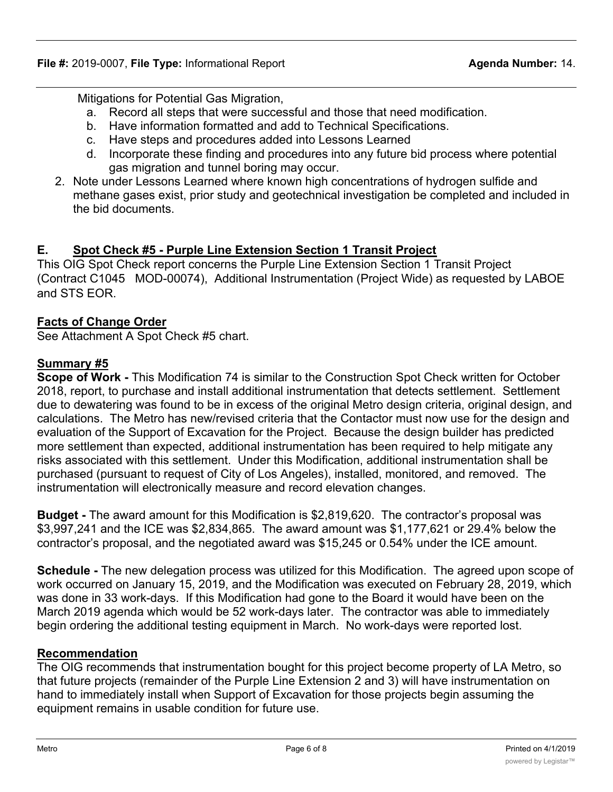Mitigations for Potential Gas Migration,

- a. Record all steps that were successful and those that need modification.
- b. Have information formatted and add to Technical Specifications.
- c. Have steps and procedures added into Lessons Learned
- d. Incorporate these finding and procedures into any future bid process where potential gas migration and tunnel boring may occur.
- 2. Note under Lessons Learned where known high concentrations of hydrogen sulfide and methane gases exist, prior study and geotechnical investigation be completed and included in the bid documents.

#### **E. Spot Check #5 - Purple Line Extension Section 1 Transit Project**

This OIG Spot Check report concerns the Purple Line Extension Section 1 Transit Project (Contract C1045 MOD-00074), Additional Instrumentation (Project Wide) as requested by LABOE and STS EOR.

#### **Facts of Change Order**

See Attachment A Spot Check #5 chart.

#### **Summary #5**

**Scope of Work -** This Modification 74 is similar to the Construction Spot Check written for October 2018, report, to purchase and install additional instrumentation that detects settlement. Settlement due to dewatering was found to be in excess of the original Metro design criteria, original design, and calculations. The Metro has new/revised criteria that the Contactor must now use for the design and evaluation of the Support of Excavation for the Project. Because the design builder has predicted more settlement than expected, additional instrumentation has been required to help mitigate any risks associated with this settlement. Under this Modification, additional instrumentation shall be purchased (pursuant to request of City of Los Angeles), installed, monitored, and removed. The instrumentation will electronically measure and record elevation changes.

**Budget -** The award amount for this Modification is \$2,819,620. The contractor's proposal was \$3,997,241 and the ICE was \$2,834,865. The award amount was \$1,177,621 or 29.4% below the contractor's proposal, and the negotiated award was \$15,245 or 0.54% under the ICE amount.

**Schedule -** The new delegation process was utilized for this Modification. The agreed upon scope of work occurred on January 15, 2019, and the Modification was executed on February 28, 2019, which was done in 33 work-days. If this Modification had gone to the Board it would have been on the March 2019 agenda which would be 52 work-days later. The contractor was able to immediately begin ordering the additional testing equipment in March. No work-days were reported lost.

#### **Recommendation**

The OIG recommends that instrumentation bought for this project become property of LA Metro, so that future projects (remainder of the Purple Line Extension 2 and 3) will have instrumentation on hand to immediately install when Support of Excavation for those projects begin assuming the equipment remains in usable condition for future use.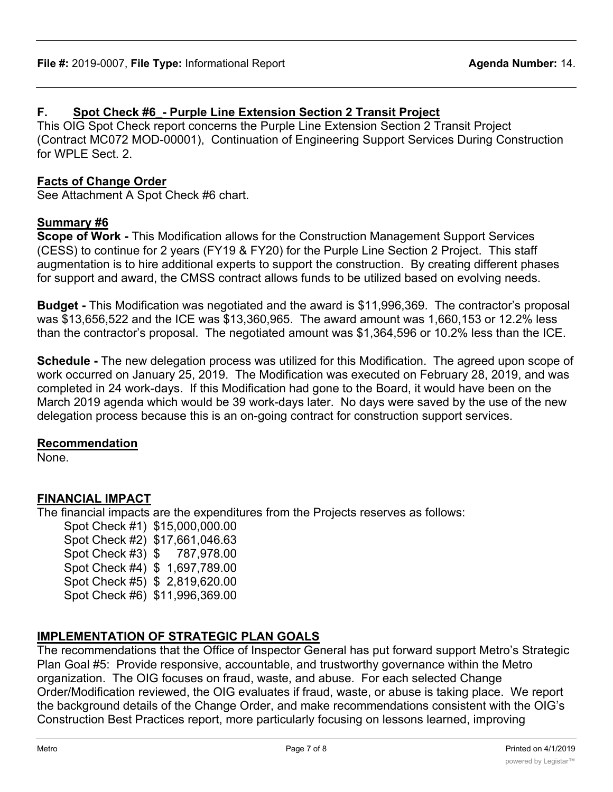# **F. Spot Check #6\_- Purple Line Extension Section 2 Transit Project**

This OIG Spot Check report concerns the Purple Line Extension Section 2 Transit Project (Contract MC072 MOD-00001), Continuation of Engineering Support Services During Construction for WPLE Sect. 2.

# **Facts of Change Order**

See Attachment A Spot Check #6 chart.

# **Summary #6**

**Scope of Work -** This Modification allows for the Construction Management Support Services (CESS) to continue for 2 years (FY19 & FY20) for the Purple Line Section 2 Project. This staff augmentation is to hire additional experts to support the construction. By creating different phases for support and award, the CMSS contract allows funds to be utilized based on evolving needs.

**Budget -** This Modification was negotiated and the award is \$11,996,369. The contractor's proposal was \$13,656,522 and the ICE was \$13,360,965. The award amount was 1,660,153 or 12.2% less than the contractor's proposal. The negotiated amount was \$1,364,596 or 10.2% less than the ICE.

**Schedule -** The new delegation process was utilized for this Modification. The agreed upon scope of work occurred on January 25, 2019. The Modification was executed on February 28, 2019, and was completed in 24 work-days. If this Modification had gone to the Board, it would have been on the March 2019 agenda which would be 39 work-days later. No days were saved by the use of the new delegation process because this is an on-going contract for construction support services.

# **Recommendation**

None.

# **FINANCIAL IMPACT**

The financial impacts are the expenditures from the Projects reserves as follows:

Spot Check #1) \$15,000,000.00 Spot Check #2) \$17,661,046.63 Spot Check #3) \$ 787,978.00 Spot Check #4) \$ 1,697,789.00 Spot Check #5) \$ 2,819,620.00 Spot Check #6) \$11,996,369.00

# **IMPLEMENTATION OF STRATEGIC PLAN GOALS**

The recommendations that the Office of Inspector General has put forward support Metro's Strategic Plan Goal #5: Provide responsive, accountable, and trustworthy governance within the Metro organization. The OIG focuses on fraud, waste, and abuse. For each selected Change Order/Modification reviewed, the OIG evaluates if fraud, waste, or abuse is taking place. We report the background details of the Change Order, and make recommendations consistent with the OIG's Construction Best Practices report, more particularly focusing on lessons learned, improving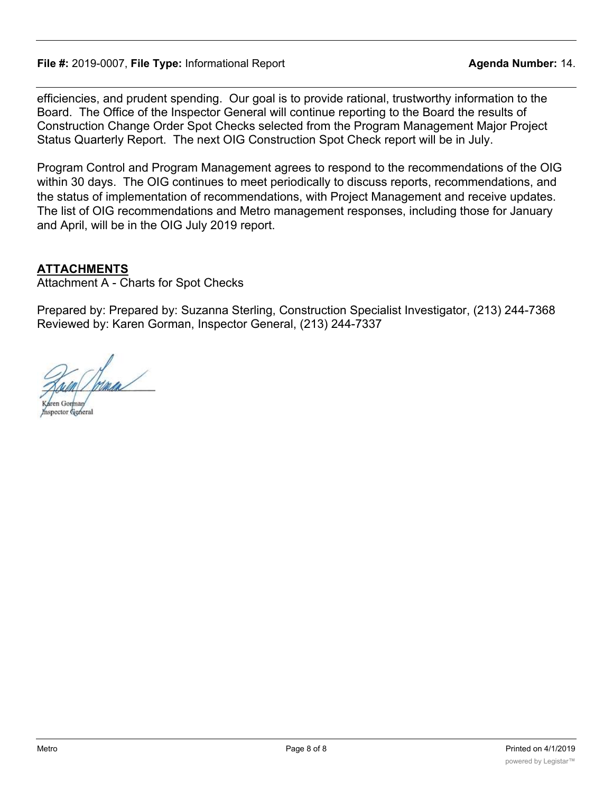#### **File #:** 2019-0007, File Type: Informational Report **Agent Agent Agenda Number:** 14.

efficiencies, and prudent spending. Our goal is to provide rational, trustworthy information to the Board. The Office of the Inspector General will continue reporting to the Board the results of Construction Change Order Spot Checks selected from the Program Management Major Project Status Quarterly Report. The next OIG Construction Spot Check report will be in July.

Program Control and Program Management agrees to respond to the recommendations of the OIG within 30 days. The OIG continues to meet periodically to discuss reports, recommendations, and the status of implementation of recommendations, with Project Management and receive updates. The list of OIG recommendations and Metro management responses, including those for January and April, will be in the OIG July 2019 report.

#### **ATTACHMENTS**

Attachment A - Charts for Spot Checks

Prepared by: Prepared by: Suzanna Sterling, Construction Specialist Investigator, (213) 244-7368 Reviewed by: Karen Gorman, Inspector General, (213) 244-7337

nspector General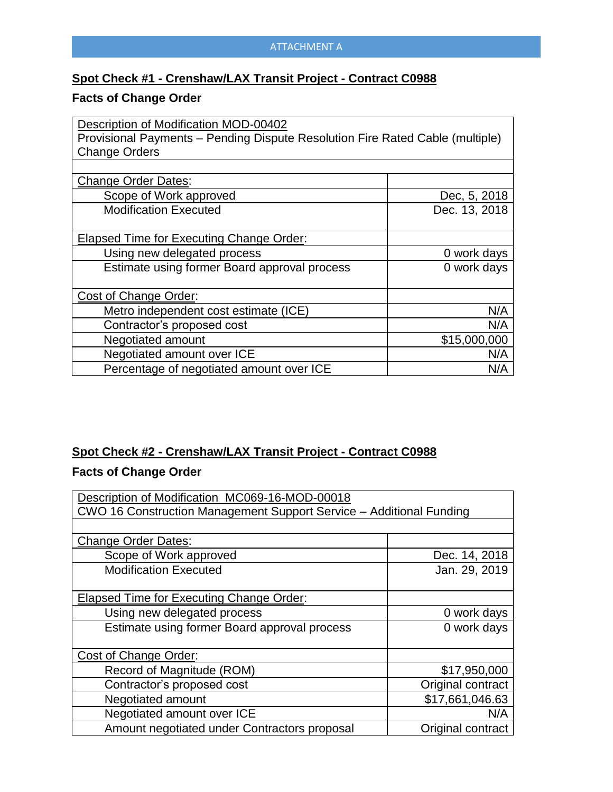#### **Spot Check #1 - Crenshaw/LAX Transit Project - Contract C0988**

# **Facts of Change Order**

| Description of Modification MOD-00402                                         |               |  |
|-------------------------------------------------------------------------------|---------------|--|
| Provisional Payments - Pending Dispute Resolution Fire Rated Cable (multiple) |               |  |
| <b>Change Orders</b>                                                          |               |  |
|                                                                               |               |  |
| <b>Change Order Dates:</b>                                                    |               |  |
| Scope of Work approved                                                        | Dec, 5, 2018  |  |
| <b>Modification Executed</b>                                                  | Dec. 13, 2018 |  |
| Elapsed Time for Executing Change Order:                                      |               |  |
| Using new delegated process                                                   | 0 work days   |  |
| Estimate using former Board approval process                                  | 0 work days   |  |
| Cost of Change Order:                                                         |               |  |
| Metro independent cost estimate (ICE)                                         | N/A           |  |
| Contractor's proposed cost                                                    | N/A           |  |
| Negotiated amount                                                             | \$15,000,000  |  |
| Negotiated amount over ICE                                                    | N/A           |  |
| Percentage of negotiated amount over ICE                                      | N/A           |  |

# **Spot Check #2 - Crenshaw/LAX Transit Project - Contract C0988**

#### **Facts of Change Order**

| Description of Modification MC069-16-MOD-00018                      |                   |  |
|---------------------------------------------------------------------|-------------------|--|
| CWO 16 Construction Management Support Service - Additional Funding |                   |  |
|                                                                     |                   |  |
| <b>Change Order Dates:</b>                                          |                   |  |
| Scope of Work approved                                              | Dec. 14, 2018     |  |
| <b>Modification Executed</b>                                        | Jan. 29, 2019     |  |
|                                                                     |                   |  |
| Elapsed Time for Executing Change Order:                            |                   |  |
| Using new delegated process                                         | 0 work days       |  |
| Estimate using former Board approval process                        | 0 work days       |  |
|                                                                     |                   |  |
| Cost of Change Order:                                               |                   |  |
| Record of Magnitude (ROM)                                           | \$17,950,000      |  |
| Contractor's proposed cost                                          | Original contract |  |
| Negotiated amount                                                   | \$17,661,046.63   |  |
| Negotiated amount over ICE                                          | N/A               |  |
| Amount negotiated under Contractors proposal                        | Original contract |  |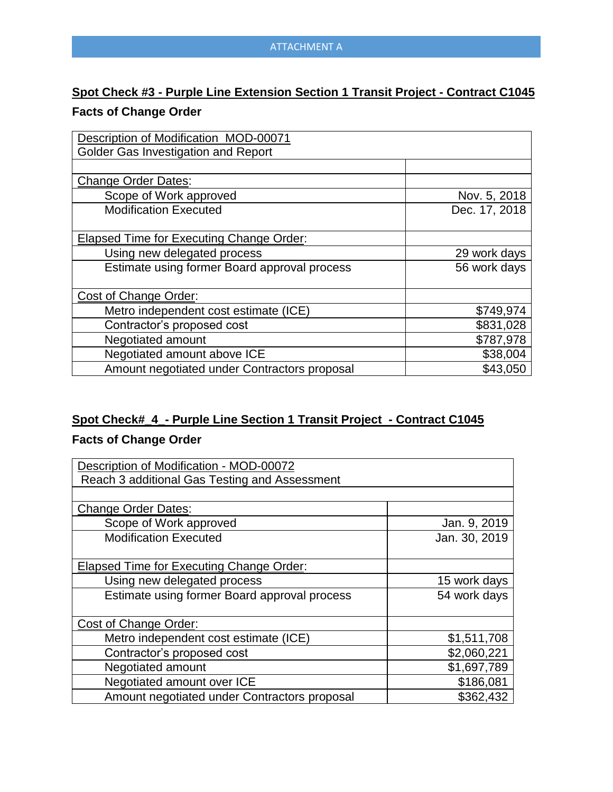# **Spot Check #3 - Purple Line Extension Section 1 Transit Project - Contract C1045**

# **Facts of Change Order**

| Description of Modification MOD-00071        |               |
|----------------------------------------------|---------------|
| Golder Gas Investigation and Report          |               |
|                                              |               |
| <b>Change Order Dates:</b>                   |               |
| Scope of Work approved                       | Nov. 5, 2018  |
| <b>Modification Executed</b>                 | Dec. 17, 2018 |
|                                              |               |
| Elapsed Time for Executing Change Order:     |               |
| Using new delegated process                  | 29 work days  |
| Estimate using former Board approval process | 56 work days  |
|                                              |               |
| Cost of Change Order:                        |               |
| Metro independent cost estimate (ICE)        | \$749,974     |
| Contractor's proposed cost                   | \$831,028     |
| Negotiated amount                            | \$787,978     |
| Negotiated amount above ICE                  | \$38,004      |
| Amount negotiated under Contractors proposal | \$43,050      |

#### **Spot Check#\_4\_- Purple Line Section 1 Transit Project - Contract C1045**

#### **Facts of Change Order**

| Description of Modification - MOD-00072       |               |
|-----------------------------------------------|---------------|
| Reach 3 additional Gas Testing and Assessment |               |
|                                               |               |
| Change Order Dates:                           |               |
| Scope of Work approved                        | Jan. 9, 2019  |
| <b>Modification Executed</b>                  | Jan. 30, 2019 |
|                                               |               |
| Elapsed Time for Executing Change Order:      |               |
| Using new delegated process                   | 15 work days  |
| Estimate using former Board approval process  | 54 work days  |
|                                               |               |
| Cost of Change Order:                         |               |
| Metro independent cost estimate (ICE)         | \$1,511,708   |
| Contractor's proposed cost                    | \$2,060,221   |
| Negotiated amount                             | \$1,697,789   |
| Negotiated amount over ICE                    | \$186,081     |
| Amount negotiated under Contractors proposal  | \$362,432     |